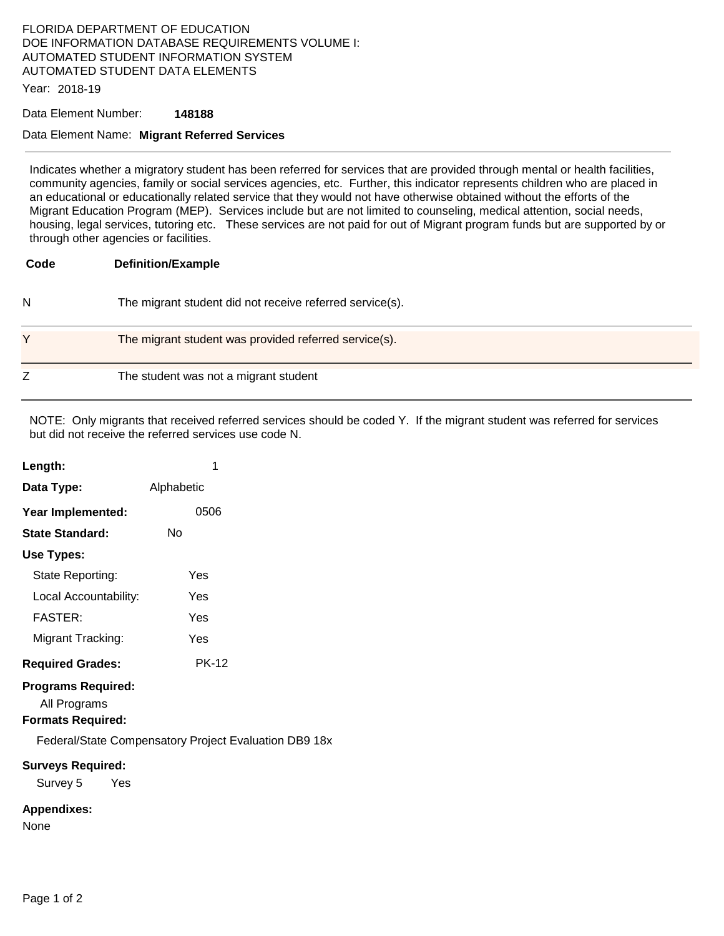## FLORIDA DEPARTMENT OF EDUCATION DOE INFORMATION DATABASE REQUIREMENTS VOLUME I: AUTOMATED STUDENT INFORMATION SYSTEM AUTOMATED STUDENT DATA ELEMENTS

Year: 2018-19

## Data Element Number: **148188**

## Data Element Name: **Migrant Referred Services**

Indicates whether a migratory student has been referred for services that are provided through mental or health facilities, community agencies, family or social services agencies, etc. Further, this indicator represents children who are placed in an educational or educationally related service that they would not have otherwise obtained without the efforts of the Migrant Education Program (MEP). Services include but are not limited to counseling, medical attention, social needs, housing, legal services, tutoring etc. These services are not paid for out of Migrant program funds but are supported by or through other agencies or facilities.

| Code | <b>Definition/Example</b>                                |
|------|----------------------------------------------------------|
| N    | The migrant student did not receive referred service(s). |
| Υ    | The migrant student was provided referred service(s).    |
| Z    | The student was not a migrant student                    |

NOTE: Only migrants that received referred services should be coded Y. If the migrant student was referred for services but did not receive the referred services use code N.

DB9 18x

| Length:                                                               | 1            |  |  |
|-----------------------------------------------------------------------|--------------|--|--|
| Data Type:                                                            | Alphabetic   |  |  |
| Year Implemented:                                                     | 0506         |  |  |
| <b>State Standard:</b>                                                | Nο           |  |  |
| Use Types:                                                            |              |  |  |
| State Reporting:                                                      | Yes          |  |  |
| Local Accountability:                                                 | Yes          |  |  |
| <b>FASTER:</b>                                                        | Yes          |  |  |
| Migrant Tracking:                                                     | Yes          |  |  |
| <b>Required Grades:</b>                                               | <b>PK-12</b> |  |  |
| <b>Programs Required:</b><br>All Programs<br><b>Formats Required:</b> |              |  |  |
| <b>Federal/State Compensatory Project Evaluation</b>                  |              |  |  |
| <b>Surveys Required:</b><br>Survey 5<br>yes Yes                       |              |  |  |
| <b>Appendixes:</b><br>None                                            |              |  |  |